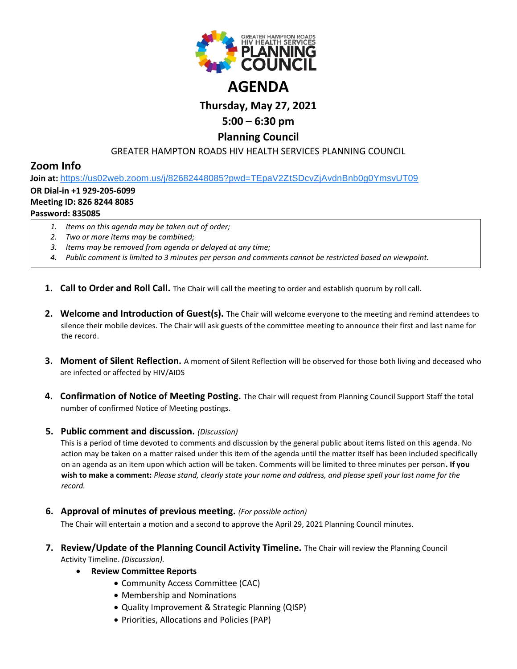

# **Thursday, May 27, 2021**

## **5:00 – 6:30 pm**

### **Planning Council**

### GREATER HAMPTON ROADS HIV HEALTH SERVICES PLANNING COUNCIL

## **Zoom Info**

**Join at:** [https://us02web.zoom.us/j/82682448085?pwd=TEpaV2ZtSDcvZjAvdnBnb0g0YmsvUT09](https://www.google.com/url?q=https://us02web.zoom.us/j/82682448085?pwd%3DTEpaV2ZtSDcvZjAvdnBnb0g0YmsvUT09&sa=D&source=calendar&ust=1619875881860000&usg=AOvVaw0zwYUyYOogd54DiewQ0YcP)

#### **OR Dial-in +1 929-205-6099**

#### **Meeting ID: 826 8244 8085**

### **Password: 835085**

- *1. Items on this agenda may be taken out of order;*
- *2. Two or more items may be combined;*
- *3. Items may be removed from agenda or delayed at any time;*
- *4. Public comment is limited to 3 minutes per person and comments cannot be restricted based on viewpoint.*
- **1. Call to Order and Roll Call.** The Chair will call the meeting to order and establish quorum by roll call.
- **2. Welcome and Introduction of Guest(s).** The Chair will welcome everyone to the meeting and remind attendees to silence their mobile devices. The Chair will ask guests of the committee meeting to announce their first and last name for the record.
- **3. Moment of Silent Reflection.** A moment of Silent Reflection will be observed for those both living and deceased who are infected or affected by HIV/AIDS
- **4. Confirmation of Notice of Meeting Posting.** The Chair will request from Planning Council Support Staff the total number of confirmed Notice of Meeting postings.

#### **5. Public comment and discussion.** *(Discussion)*

This is a period of time devoted to comments and discussion by the general public about items listed on this agenda. No action may be taken on a matter raised under this item of the agenda until the matter itself has been included specifically on an agenda as an item upon which action will be taken. Comments will be limited to three minutes per person**. If you wish to make a comment:** *Please stand, clearly state your name and address, and please spell your last name for the record.*

**6. Approval of minutes of previous meeting.** *(For possible action)*

The Chair will entertain a motion and a second to approve the April 29, 2021 Planning Council minutes.

- **7. Review/Update of the Planning Council Activity Timeline.** The Chair will review the Planning Council Activity Timeline. *(Discussion).*
	- **Review Committee Reports**
		- Community Access Committee (CAC)
		- Membership and Nominations
		- Quality Improvement & Strategic Planning (QISP)
		- Priorities, Allocations and Policies (PAP)